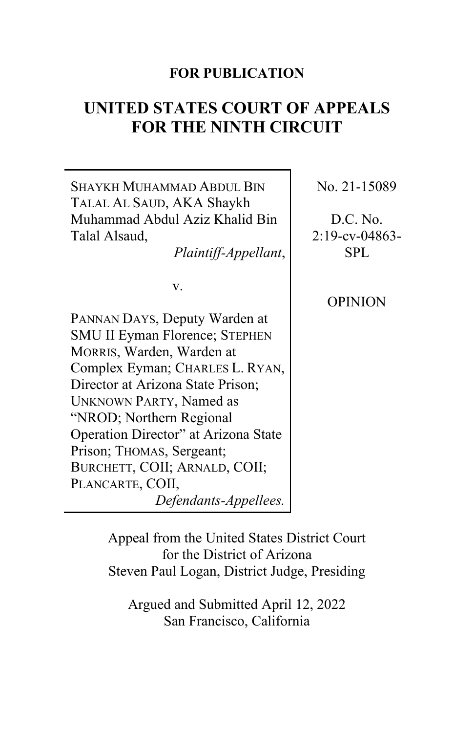# **FOR PUBLICATION**

# **UNITED STATES COURT OF APPEALS FOR THE NINTH CIRCUIT**

SHAYKH MUHAMMAD ABDUL BIN TALAL AL SAUD, AKA Shaykh Muhammad Abdul Aziz Khalid Bin Talal Alsaud, *Plaintiff-Appellant*, v. PANNAN DAYS, Deputy Warden at SMU II Eyman Florence; STEPHEN MORRIS, Warden, Warden at Complex Eyman; CHARLES L. RYAN, Director at Arizona State Prison; UNKNOWN PARTY, Named as "NROD; Northern Regional Operation Director" at Arizona State Prison; THOMAS, Sergeant; BURCHETT, COII; ARNALD, COII; PLANCARTE, COII, *Defendants-Appellees.* SPL OPINION

No. 21-15089

D.C. No. 2:19-cv-04863-

Appeal from the United States District Court for the District of Arizona Steven Paul Logan, District Judge, Presiding

Argued and Submitted April 12, 2022 San Francisco, California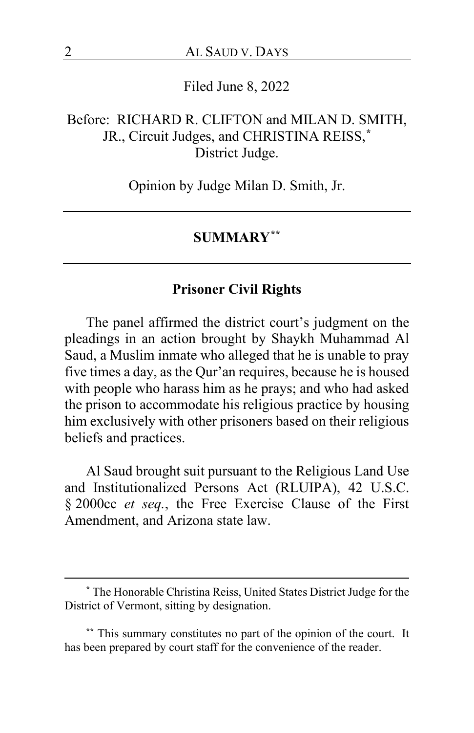Filed June 8, 2022

# Before: RICHARD R. CLIFTON and MILAN D. SMITH, JR., Circuit Judges, and CHRISTINA REISS,**[\\*](#page-1-0)** District Judge.

Opinion by Judge Milan D. Smith, Jr.

#### **SUMMARY[\\*\\*](#page-1-1)**

#### **Prisoner Civil Rights**

The panel affirmed the district court's judgment on the pleadings in an action brought by Shaykh Muhammad Al Saud, a Muslim inmate who alleged that he is unable to pray five times a day, as the Qur'an requires, because he is housed with people who harass him as he prays; and who had asked the prison to accommodate his religious practice by housing him exclusively with other prisoners based on their religious beliefs and practices.

Al Saud brought suit pursuant to the Religious Land Use and Institutionalized Persons Act (RLUIPA), 42 U.S.C. § 2000cc *et seq.*, the Free Exercise Clause of the First Amendment, and Arizona state law.

<span id="page-1-0"></span>**<sup>\*</sup>** The Honorable Christina Reiss, United States District Judge for the District of Vermont, sitting by designation.

<span id="page-1-1"></span>**<sup>\*\*</sup>** This summary constitutes no part of the opinion of the court. It has been prepared by court staff for the convenience of the reader.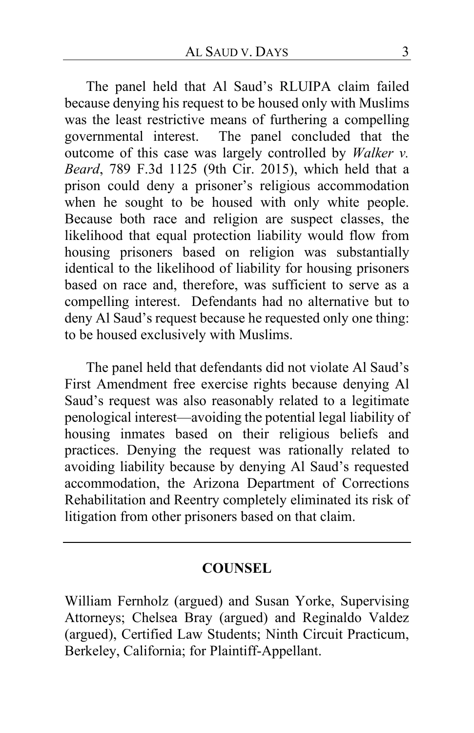The panel held that Al Saud's RLUIPA claim failed because denying his request to be housed only with Muslims was the least restrictive means of furthering a compelling governmental interest. The panel concluded that the outcome of this case was largely controlled by *Walker v. Beard*, 789 F.3d 1125 (9th Cir. 2015), which held that a prison could deny a prisoner's religious accommodation when he sought to be housed with only white people. Because both race and religion are suspect classes, the likelihood that equal protection liability would flow from housing prisoners based on religion was substantially identical to the likelihood of liability for housing prisoners based on race and, therefore, was sufficient to serve as a compelling interest. Defendants had no alternative but to deny Al Saud's request because he requested only one thing: to be housed exclusively with Muslims.

The panel held that defendants did not violate Al Saud's First Amendment free exercise rights because denying Al Saud's request was also reasonably related to a legitimate penological interest—avoiding the potential legal liability of housing inmates based on their religious beliefs and practices. Denying the request was rationally related to avoiding liability because by denying Al Saud's requested accommodation, the Arizona Department of Corrections Rehabilitation and Reentry completely eliminated its risk of litigation from other prisoners based on that claim.

#### **COUNSEL**

William Fernholz (argued) and Susan Yorke, Supervising Attorneys; Chelsea Bray (argued) and Reginaldo Valdez (argued), Certified Law Students; Ninth Circuit Practicum, Berkeley, California; for Plaintiff-Appellant.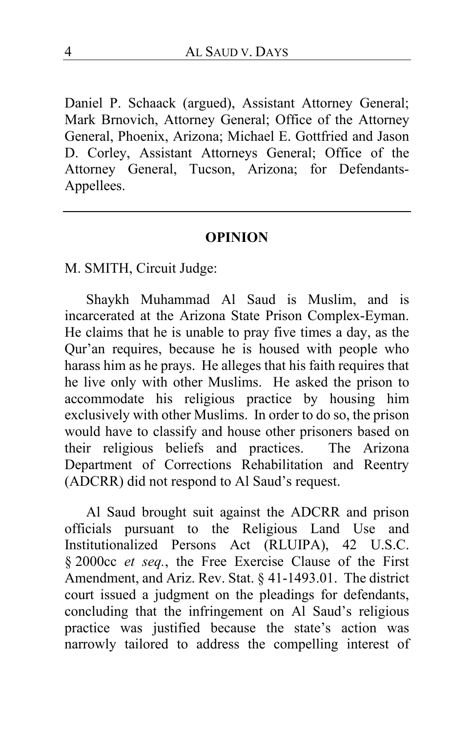Daniel P. Schaack (argued), Assistant Attorney General; Mark Brnovich, Attorney General; Office of the Attorney General, Phoenix, Arizona; Michael E. Gottfried and Jason D. Corley, Assistant Attorneys General; Office of the Attorney General, Tucson, Arizona; for Defendants-Appellees.

#### **OPINION**

M. SMITH, Circuit Judge:

Shaykh Muhammad Al Saud is Muslim, and is incarcerated at the Arizona State Prison Complex-Eyman. He claims that he is unable to pray five times a day, as the Qur'an requires, because he is housed with people who harass him as he prays. He alleges that his faith requires that he live only with other Muslims. He asked the prison to accommodate his religious practice by housing him exclusively with other Muslims. In order to do so, the prison would have to classify and house other prisoners based on their religious beliefs and practices. The Arizona Department of Corrections Rehabilitation and Reentry (ADCRR) did not respond to Al Saud's request.

Al Saud brought suit against the ADCRR and prison officials pursuant to the Religious Land Use and Institutionalized Persons Act (RLUIPA), 42 U.S.C. § 2000cc *et seq.*, the Free Exercise Clause of the First Amendment, and Ariz. Rev. Stat. § 41-1493.01. The district court issued a judgment on the pleadings for defendants, concluding that the infringement on Al Saud's religious practice was justified because the state's action was narrowly tailored to address the compelling interest of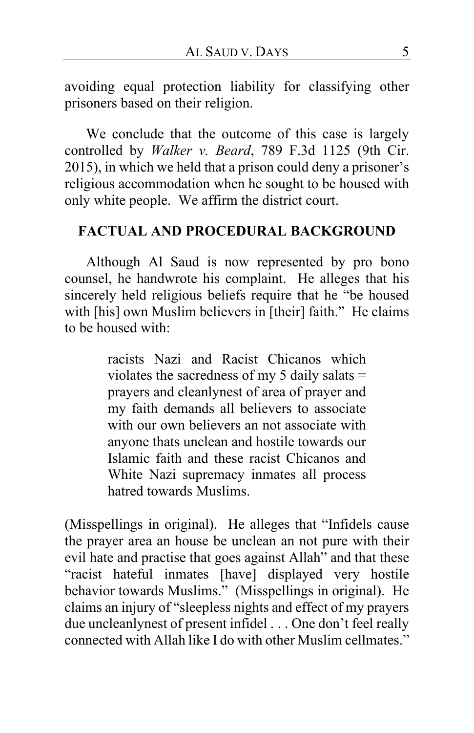avoiding equal protection liability for classifying other prisoners based on their religion.

We conclude that the outcome of this case is largely controlled by *Walker v. Beard*, 789 F.3d 1125 (9th Cir. 2015), in which we held that a prison could deny a prisoner's religious accommodation when he sought to be housed with only white people. We affirm the district court.

#### **FACTUAL AND PROCEDURAL BACKGROUND**

Although Al Saud is now represented by pro bono counsel, he handwrote his complaint. He alleges that his sincerely held religious beliefs require that he "be housed with [his] own Muslim believers in [their] faith." He claims to be housed with:

> racists Nazi and Racist Chicanos which violates the sacredness of my 5 daily salats = prayers and cleanlynest of area of prayer and my faith demands all believers to associate with our own believers an not associate with anyone thats unclean and hostile towards our Islamic faith and these racist Chicanos and White Nazi supremacy inmates all process hatred towards Muslims.

(Misspellings in original).He alleges that "Infidels cause the prayer area an house be unclean an not pure with their evil hate and practise that goes against Allah" and that these "racist hateful inmates [have] displayed very hostile behavior towards Muslims." (Misspellings in original).He claims an injury of "sleepless nights and effect of my prayers due uncleanlynest of present infidel . . . One don't feel really connected with Allah like I do with other Muslim cellmates."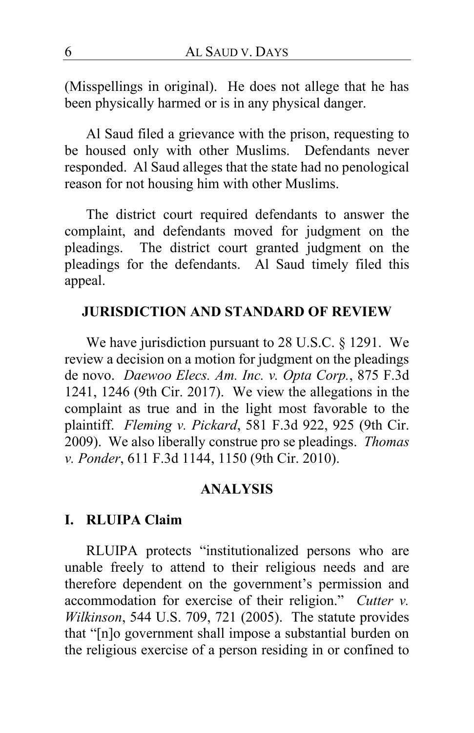(Misspellings in original). He does not allege that he has been physically harmed or is in any physical danger.

Al Saud filed a grievance with the prison, requesting to be housed only with other Muslims. Defendants never responded. Al Saud alleges that the state had no penological reason for not housing him with other Muslims.

The district court required defendants to answer the complaint, and defendants moved for judgment on the pleadings. The district court granted judgment on the The district court granted judgment on the pleadings for the defendants. Al Saud timely filed this appeal.

#### **JURISDICTION AND STANDARD OF REVIEW**

We have jurisdiction pursuant to 28 U.S.C. § 1291. We review a decision on a motion for judgment on the pleadings de novo. *Daewoo Elecs. Am. Inc. v. Opta Corp.*, 875 F.3d 1241, 1246 (9th Cir. 2017). We view the allegations in the complaint as true and in the light most favorable to the plaintiff. *Fleming v. Pickard*, 581 F.3d 922, 925 (9th Cir. 2009).We also liberally construe pro se pleadings. *Thomas v. Ponder*, 611 F.3d 1144, 1150 (9th Cir. 2010).

#### **ANALYSIS**

#### **I. RLUIPA Claim**

RLUIPA protects "institutionalized persons who are unable freely to attend to their religious needs and are therefore dependent on the government's permission and accommodation for exercise of their religion." *Cutter v. Wilkinson*, 544 U.S. 709, 721 (2005). The statute provides that "[n]o government shall impose a substantial burden on the religious exercise of a person residing in or confined to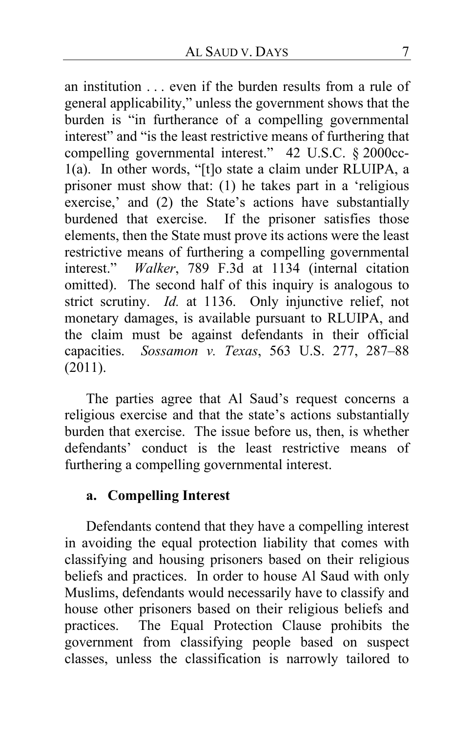an institution . . . even if the burden results from a rule of general applicability," unless the government shows that the burden is "in furtherance of a compelling governmental interest" and "is the least restrictive means of furthering that compelling governmental interest." 42 U.S.C. § 2000cc-1(a). In other words, "[t]o state a claim under RLUIPA, a prisoner must show that: (1) he takes part in a 'religious exercise,' and (2) the State's actions have substantially burdened that exercise. If the prisoner satisfies those elements, then the State must prove its actions were the least restrictive means of furthering a compelling governmental interest." *Walker*, 789 F.3d at 1134 (internal citation omitted). The second half of this inquiry is analogous to strict scrutiny. *Id.* at 1136. Only injunctive relief, not monetary damages, is available pursuant to RLUIPA, and the claim must be against defendants in their official capacities. *Sossamon v. Texas*, 563 U.S. 277, 287–88 (2011).

The parties agree that Al Saud's request concerns a religious exercise and that the state's actions substantially burden that exercise. The issue before us, then, is whether defendants' conduct is the least restrictive means of furthering a compelling governmental interest.

# **a. Compelling Interest**

Defendants contend that they have a compelling interest in avoiding the equal protection liability that comes with classifying and housing prisoners based on their religious beliefs and practices. In order to house Al Saud with only Muslims, defendants would necessarily have to classify and house other prisoners based on their religious beliefs and practices. The Equal Protection Clause prohibits the The Equal Protection Clause prohibits the government from classifying people based on suspect classes, unless the classification is narrowly tailored to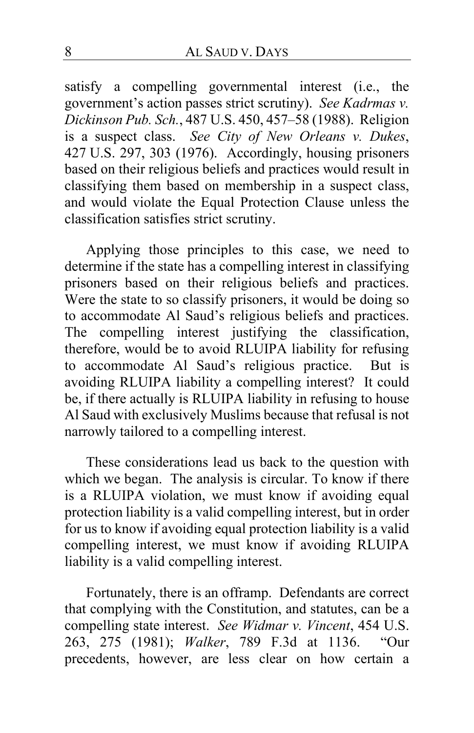satisfy a compelling governmental interest (i.e., the government's action passes strict scrutiny). *See Kadrmas v. Dickinson Pub. Sch.*, 487 U.S. 450, 457–58 (1988). Religion is a suspect class. *See City of New Orleans v. Dukes*, 427 U.S. 297, 303 (1976). Accordingly, housing prisoners based on their religious beliefs and practices would result in classifying them based on membership in a suspect class, and would violate the Equal Protection Clause unless the classification satisfies strict scrutiny.

Applying those principles to this case, we need to determine if the state has a compelling interest in classifying prisoners based on their religious beliefs and practices. Were the state to so classify prisoners, it would be doing so to accommodate Al Saud's religious beliefs and practices. The compelling interest justifying the classification, therefore, would be to avoid RLUIPA liability for refusing to accommodate Al Saud's religious practice. But is avoiding RLUIPA liability a compelling interest? It could be, if there actually is RLUIPA liability in refusing to house Al Saud with exclusively Muslims because that refusal is not narrowly tailored to a compelling interest.

These considerations lead us back to the question with which we began. The analysis is circular. To know if there is a RLUIPA violation, we must know if avoiding equal protection liability is a valid compelling interest, but in order for us to know if avoiding equal protection liability is a valid compelling interest, we must know if avoiding RLUIPA liability is a valid compelling interest.

Fortunately, there is an offramp. Defendants are correct that complying with the Constitution, and statutes, can be a compelling state interest. *See Widmar v. Vincent*, 454 U.S. 263, 275 (1981); *Walker*, 789 F.3d at 1136. "Our precedents, however, are less clear on how certain a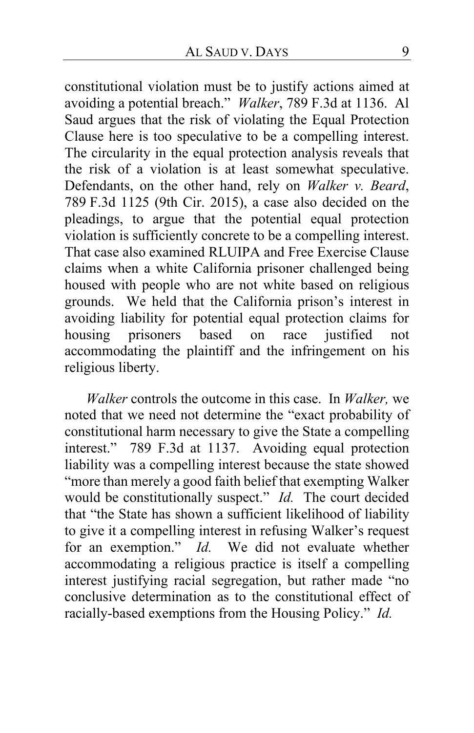constitutional violation must be to justify actions aimed at avoiding a potential breach." *Walker*, 789 F.3d at 1136. Al Saud argues that the risk of violating the Equal Protection Clause here is too speculative to be a compelling interest. The circularity in the equal protection analysis reveals that the risk of a violation is at least somewhat speculative. Defendants, on the other hand, rely on *Walker v. Beard*, 789 F.3d 1125 (9th Cir. 2015), a case also decided on the pleadings, to argue that the potential equal protection violation is sufficiently concrete to be a compelling interest. That case also examined RLUIPA and Free Exercise Clause claims when a white California prisoner challenged being housed with people who are not white based on religious grounds. We held that the California prison's interest in avoiding liability for potential equal protection claims for housing prisoners based on race justified not accommodating the plaintiff and the infringement on his religious liberty.

*Walker* controls the outcome in this case. In *Walker,* we noted that we need not determine the "exact probability of constitutional harm necessary to give the State a compelling interest." 789 F.3d at 1137. Avoiding equal protection liability was a compelling interest because the state showed "more than merely a good faith belief that exempting Walker would be constitutionally suspect." *Id.* The court decided that "the State has shown a sufficient likelihood of liability to give it a compelling interest in refusing Walker's request for an exemption." *Id.* We did not evaluate whether accommodating a religious practice is itself a compelling interest justifying racial segregation, but rather made "no conclusive determination as to the constitutional effect of racially-based exemptions from the Housing Policy." *Id.*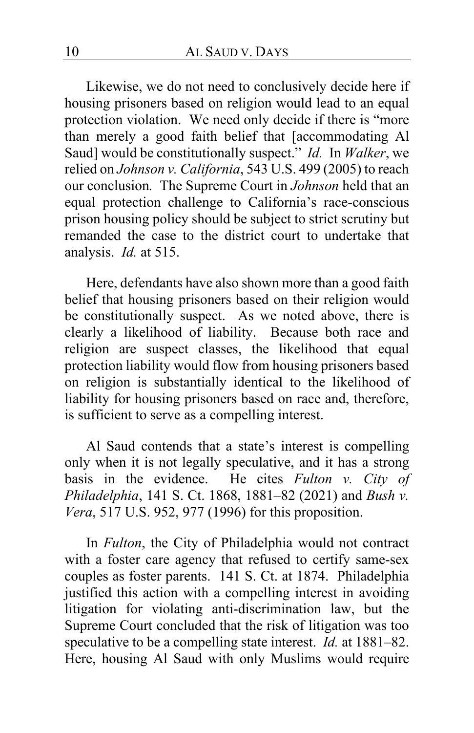Likewise, we do not need to conclusively decide here if housing prisoners based on religion would lead to an equal protection violation. We need only decide if there is "more than merely a good faith belief that [accommodating Al Saud] would be constitutionally suspect." *Id.* In *Walker*, we relied on *Johnson v. California*, 543 U.S. 499 (2005) to reach our conclusion*.* The Supreme Court in *Johnson* held that an equal protection challenge to California's race-conscious prison housing policy should be subject to strict scrutiny but remanded the case to the district court to undertake that analysis. *Id.* at 515.

Here, defendants have also shown more than a good faith belief that housing prisoners based on their religion would be constitutionally suspect. As we noted above, there is clearly a likelihood of liability. Because both race and religion are suspect classes, the likelihood that equal protection liability would flow from housing prisoners based on religion is substantially identical to the likelihood of liability for housing prisoners based on race and, therefore, is sufficient to serve as a compelling interest.

Al Saud contends that a state's interest is compelling only when it is not legally speculative, and it has a strong basis in the evidence. He cites *Fulton v. City of Philadelphia*, 141 S. Ct. 1868, 1881–82 (2021) and *Bush v. Vera*, 517 U.S. 952, 977 (1996) for this proposition.

In *Fulton*, the City of Philadelphia would not contract with a foster care agency that refused to certify same-sex couples as foster parents. 141 S. Ct. at 1874. Philadelphia justified this action with a compelling interest in avoiding litigation for violating anti-discrimination law, but the Supreme Court concluded that the risk of litigation was too speculative to be a compelling state interest. *Id.* at 1881–82. Here, housing Al Saud with only Muslims would require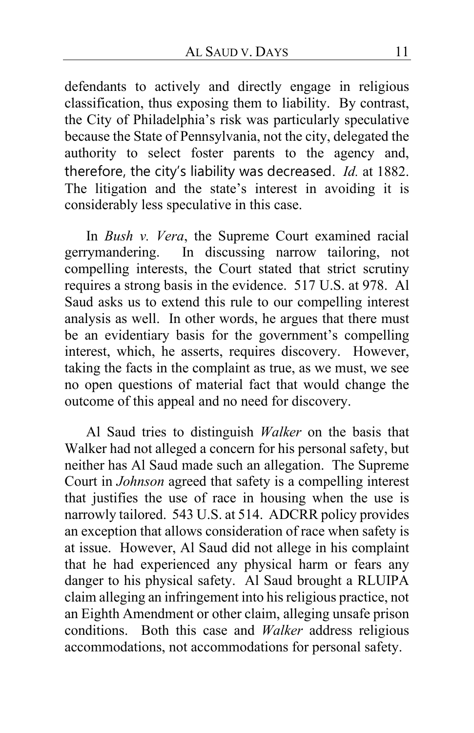defendants to actively and directly engage in religious classification, thus exposing them to liability. By contrast, the City of Philadelphia's risk was particularly speculative because the State of Pennsylvania, not the city, delegated the authority to select foster parents to the agency and, therefore, the city's liability was decreased. *Id.* at 1882. The litigation and the state's interest in avoiding it is considerably less speculative in this case.

In *Bush v. Vera*, the Supreme Court examined racial gerrymandering. In discussing narrow tailoring, not compelling interests, the Court stated that strict scrutiny requires a strong basis in the evidence. 517 U.S. at 978. Al Saud asks us to extend this rule to our compelling interest analysis as well. In other words, he argues that there must be an evidentiary basis for the government's compelling interest, which, he asserts, requires discovery. However, taking the facts in the complaint as true, as we must, we see no open questions of material fact that would change the outcome of this appeal and no need for discovery.

Al Saud tries to distinguish *Walker* on the basis that Walker had not alleged a concern for his personal safety, but neither has Al Saud made such an allegation. The Supreme Court in *Johnson* agreed that safety is a compelling interest that justifies the use of race in housing when the use is narrowly tailored. 543 U.S. at 514. ADCRR policy provides an exception that allows consideration of race when safety is at issue. However, Al Saud did not allege in his complaint that he had experienced any physical harm or fears any danger to his physical safety. Al Saud brought a RLUIPA claim alleging an infringement into his religious practice, not an Eighth Amendment or other claim, alleging unsafe prison conditions. Both this case and *Walker* address religious accommodations, not accommodations for personal safety.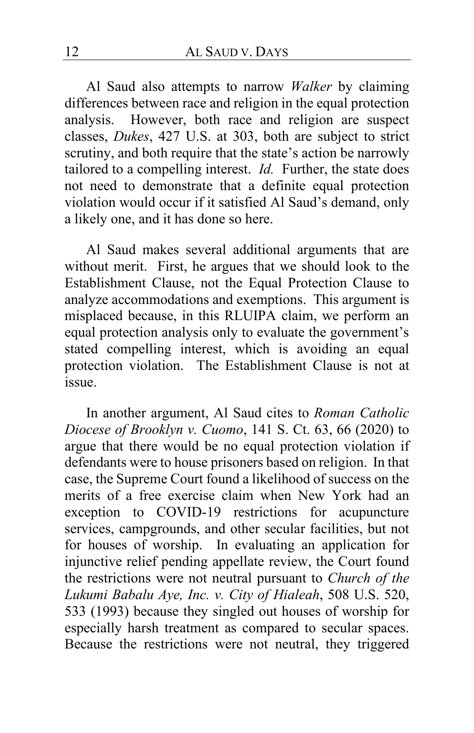Al Saud also attempts to narrow *Walker* by claiming differences between race and religion in the equal protection analysis. However, both race and religion are suspect classes, *Dukes*, 427 U.S. at 303, both are subject to strict scrutiny, and both require that the state's action be narrowly tailored to a compelling interest. *Id.* Further, the state does not need to demonstrate that a definite equal protection violation would occur if it satisfied Al Saud's demand, only a likely one, and it has done so here.

Al Saud makes several additional arguments that are without merit. First, he argues that we should look to the Establishment Clause, not the Equal Protection Clause to analyze accommodations and exemptions. This argument is misplaced because, in this RLUIPA claim, we perform an equal protection analysis only to evaluate the government's stated compelling interest, which is avoiding an equal protection violation. The Establishment Clause is not at issue.

In another argument, Al Saud cites to *Roman Catholic Diocese of Brooklyn v. Cuomo*, 141 S. Ct. 63, 66 (2020) to argue that there would be no equal protection violation if defendants were to house prisoners based on religion. In that case, the Supreme Court found a likelihood of success on the merits of a free exercise claim when New York had an exception to COVID-19 restrictions for acupuncture services, campgrounds, and other secular facilities, but not for houses of worship. In evaluating an application for injunctive relief pending appellate review, the Court found the restrictions were not neutral pursuant to *Church of the Lukumi Babalu Aye, Inc. v. City of Hialeah*, 508 U.S. 520, 533 (1993) because they singled out houses of worship for especially harsh treatment as compared to secular spaces. Because the restrictions were not neutral, they triggered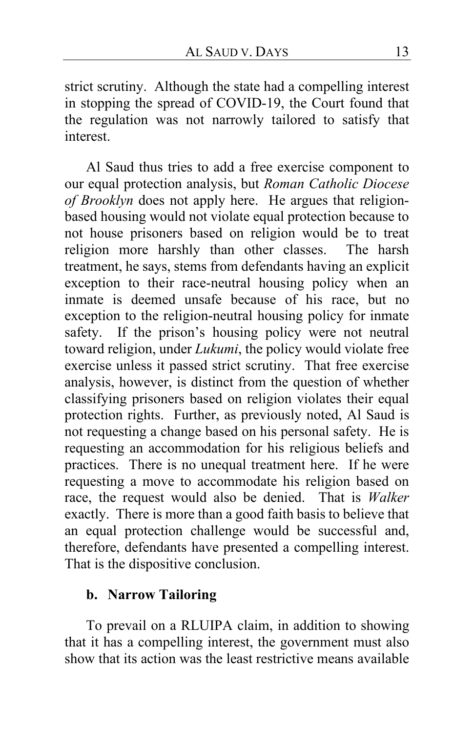strict scrutiny. Although the state had a compelling interest in stopping the spread of COVID-19, the Court found that the regulation was not narrowly tailored to satisfy that interest.

Al Saud thus tries to add a free exercise component to our equal protection analysis, but *Roman Catholic Diocese of Brooklyn* does not apply here. He argues that religionbased housing would not violate equal protection because to not house prisoners based on religion would be to treat religion more harshly than other classes. The harsh treatment, he says, stems from defendants having an explicit exception to their race-neutral housing policy when an inmate is deemed unsafe because of his race, but no exception to the religion-neutral housing policy for inmate safety. If the prison's housing policy were not neutral toward religion, under *Lukumi*, the policy would violate free exercise unless it passed strict scrutiny. That free exercise analysis, however, is distinct from the question of whether classifying prisoners based on religion violates their equal protection rights. Further, as previously noted, Al Saud is not requesting a change based on his personal safety. He is requesting an accommodation for his religious beliefs and practices. There is no unequal treatment here. If he were requesting a move to accommodate his religion based on race, the request would also be denied. That is *Walker*  exactly. There is more than a good faith basis to believe that an equal protection challenge would be successful and, therefore, defendants have presented a compelling interest. That is the dispositive conclusion.

# **b. Narrow Tailoring**

To prevail on a RLUIPA claim, in addition to showing that it has a compelling interest, the government must also show that its action was the least restrictive means available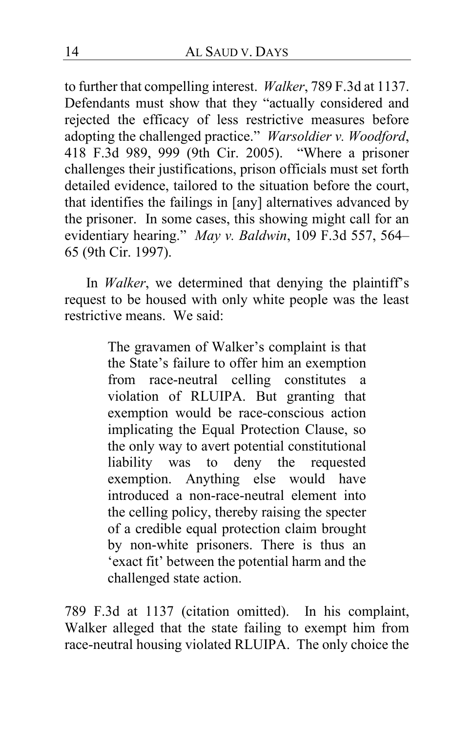to further that compelling interest. *Walker*, 789 F.3d at 1137. Defendants must show that they "actually considered and rejected the efficacy of less restrictive measures before adopting the challenged practice." *Warsoldier v. Woodford*, 418 F.3d 989, 999 (9th Cir. 2005). "Where a prisoner challenges their justifications, prison officials must set forth detailed evidence, tailored to the situation before the court, that identifies the failings in [any] alternatives advanced by the prisoner. In some cases, this showing might call for an evidentiary hearing." *May v. Baldwin*, 109 F.3d 557, 564– 65 (9th Cir. 1997).

In *Walker*, we determined that denying the plaintiff's request to be housed with only white people was the least restrictive means. We said:

> The gravamen of Walker's complaint is that the State's failure to offer him an exemption from race-neutral celling constitutes a violation of RLUIPA. But granting that exemption would be race-conscious action implicating the Equal Protection Clause, so the only way to avert potential constitutional<br>liability was to deny the requested to deny the requested exemption. Anything else would have introduced a non-race-neutral element into the celling policy, thereby raising the specter of a credible equal protection claim brought by non-white prisoners. There is thus an 'exact fit' between the potential harm and the challenged state action.

789 F.3d at 1137 (citation omitted). In his complaint, Walker alleged that the state failing to exempt him from race-neutral housing violated RLUIPA. The only choice the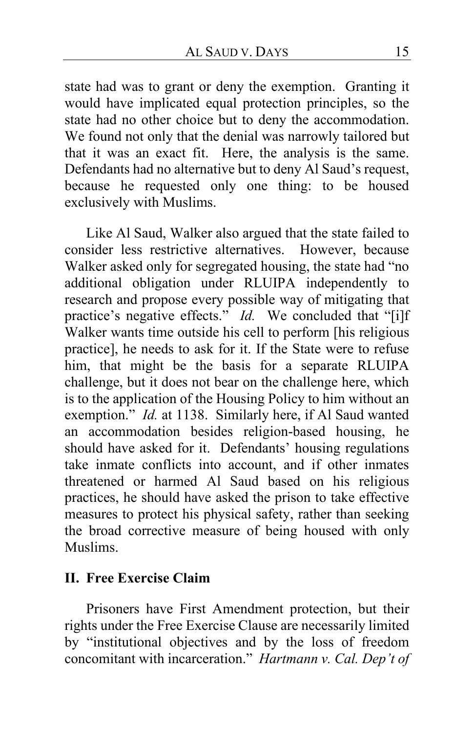state had was to grant or deny the exemption. Granting it would have implicated equal protection principles, so the state had no other choice but to deny the accommodation. We found not only that the denial was narrowly tailored but that it was an exact fit. Here, the analysis is the same. Defendants had no alternative but to deny Al Saud's request, because he requested only one thing: to be housed exclusively with Muslims.

Like Al Saud, Walker also argued that the state failed to consider less restrictive alternatives. However, because Walker asked only for segregated housing, the state had "no additional obligation under RLUIPA independently to research and propose every possible way of mitigating that practice's negative effects." *Id.* We concluded that "[i]f Walker wants time outside his cell to perform [his religious practice], he needs to ask for it. If the State were to refuse him, that might be the basis for a separate RLUIPA challenge, but it does not bear on the challenge here, which is to the application of the Housing Policy to him without an exemption." *Id.* at 1138. Similarly here, if Al Saud wanted an accommodation besides religion-based housing, he should have asked for it. Defendants' housing regulations take inmate conflicts into account, and if other inmates threatened or harmed Al Saud based on his religious practices, he should have asked the prison to take effective measures to protect his physical safety, rather than seeking the broad corrective measure of being housed with only Muslims.

# **II. Free Exercise Claim**

Prisoners have First Amendment protection, but their rights under the Free Exercise Clause are necessarily limited by "institutional objectives and by the loss of freedom concomitant with incarceration." *Hartmann v. Cal. Dep't of*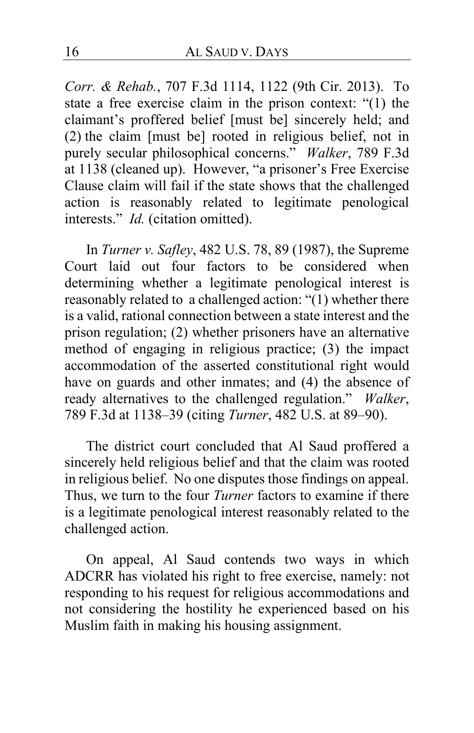*Corr. & Rehab.*, 707 F.3d 1114, 1122 (9th Cir. 2013). To state a free exercise claim in the prison context: "(1) the claimant's proffered belief [must be] sincerely held; and (2) the claim [must be] rooted in religious belief, not in purely secular philosophical concerns." *Walker*, 789 F.3d at 1138 (cleaned up). However, "a prisoner's Free Exercise Clause claim will fail if the state shows that the challenged action is reasonably related to legitimate penological interests." *Id.* (citation omitted).

In *Turner v. Safley*, 482 U.S. 78, 89 (1987), the Supreme Court laid out four factors to be considered when determining whether a legitimate penological interest is reasonably related to a challenged action: "(1) whether there is a valid, rational connection between a state interest and the prison regulation; (2) whether prisoners have an alternative method of engaging in religious practice; (3) the impact accommodation of the asserted constitutional right would have on guards and other inmates; and (4) the absence of ready alternatives to the challenged regulation." *Walker*, 789 F.3d at 1138–39 (citing *Turner*, 482 U.S. at 89–90).

The district court concluded that Al Saud proffered a sincerely held religious belief and that the claim was rooted in religious belief. No one disputes those findings on appeal. Thus, we turn to the four *Turner* factors to examine if there is a legitimate penological interest reasonably related to the challenged action.

On appeal, Al Saud contends two ways in which ADCRR has violated his right to free exercise, namely: not responding to his request for religious accommodations and not considering the hostility he experienced based on his Muslim faith in making his housing assignment.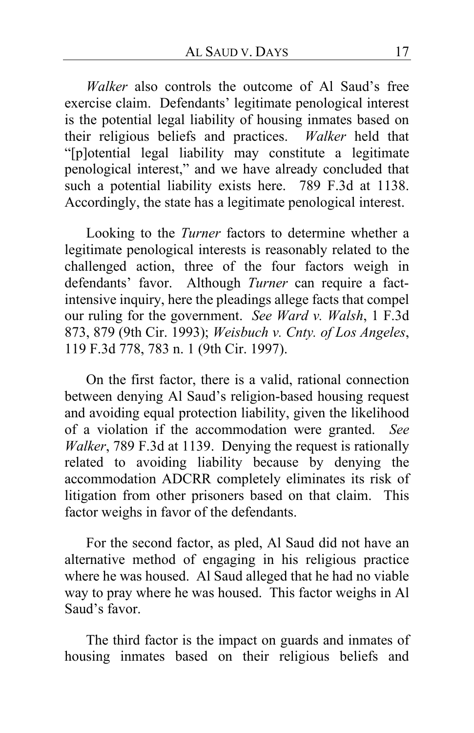*Walker* also controls the outcome of Al Saud's free exercise claim. Defendants' legitimate penological interest is the potential legal liability of housing inmates based on their religious beliefs and practices. *Walker* held that "[p]otential legal liability may constitute a legitimate penological interest," and we have already concluded that such a potential liability exists here. 789 F.3d at 1138. Accordingly, the state has a legitimate penological interest.

Looking to the *Turner* factors to determine whether a legitimate penological interests is reasonably related to the challenged action, three of the four factors weigh in defendants' favor. Although *Turner* can require a factintensive inquiry, here the pleadings allege facts that compel our ruling for the government. *See Ward v. Walsh*, 1 F.3d 873, 879 (9th Cir. 1993); *Weisbuch v. Cnty. of Los Angeles*, 119 F.3d 778, 783 n. 1 (9th Cir. 1997).

On the first factor, there is a valid, rational connection between denying Al Saud's religion-based housing request and avoiding equal protection liability, given the likelihood of a violation if the accommodation were granted. *See Walker*, 789 F.3d at 1139. Denying the request is rationally related to avoiding liability because by denying the accommodation ADCRR completely eliminates its risk of litigation from other prisoners based on that claim. This factor weighs in favor of the defendants.

For the second factor, as pled, Al Saud did not have an alternative method of engaging in his religious practice where he was housed. Al Saud alleged that he had no viable way to pray where he was housed. This factor weighs in Al Saud's favor.

The third factor is the impact on guards and inmates of housing inmates based on their religious beliefs and